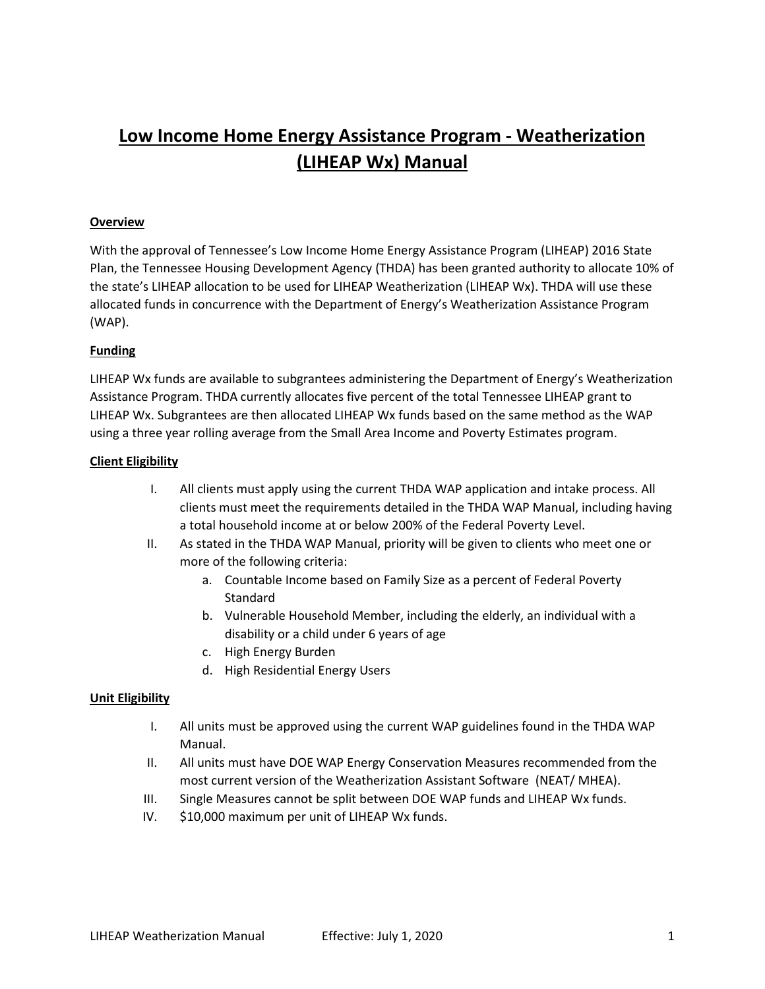# **Low Income Home Energy Assistance Program - Weatherization (LIHEAP Wx) Manual**

### **Overview**

With the approval of Tennessee's Low Income Home Energy Assistance Program (LIHEAP) 2016 State Plan, the Tennessee Housing Development Agency (THDA) has been granted authority to allocate 10% of the state's LIHEAP allocation to be used for LIHEAP Weatherization (LIHEAP Wx). THDA will use these allocated funds in concurrence with the Department of Energy's Weatherization Assistance Program (WAP).

#### **Funding**

LIHEAP Wx funds are available to subgrantees administering the Department of Energy's Weatherization Assistance Program. THDA currently allocates five percent of the total Tennessee LIHEAP grant to LIHEAP Wx. Subgrantees are then allocated LIHEAP Wx funds based on the same method as the WAP using a three year rolling average from the Small Area Income and Poverty Estimates program.

#### **Client Eligibility**

- I. All clients must apply using the current THDA WAP application and intake process. All clients must meet the requirements detailed in the THDA WAP Manual, including having a total household income at or below 200% of the Federal Poverty Level.
- II. As stated in the THDA WAP Manual, priority will be given to clients who meet one or more of the following criteria:
	- a. Countable Income based on Family Size as a percent of Federal Poverty **Standard**
	- b. Vulnerable Household Member, including the elderly, an individual with a disability or a child under 6 years of age
	- c. High Energy Burden
	- d. High Residential Energy Users

# **Unit Eligibility**

- I. All units must be approved using the current WAP guidelines found in the THDA WAP Manual.
- II. All units must have DOE WAP Energy Conservation Measures recommended from the most current version of the Weatherization Assistant Software (NEAT/ MHEA).
- III. Single Measures cannot be split between DOE WAP funds and LIHEAP Wx funds.
- IV. \$10,000 maximum per unit of LIHEAP Wx funds.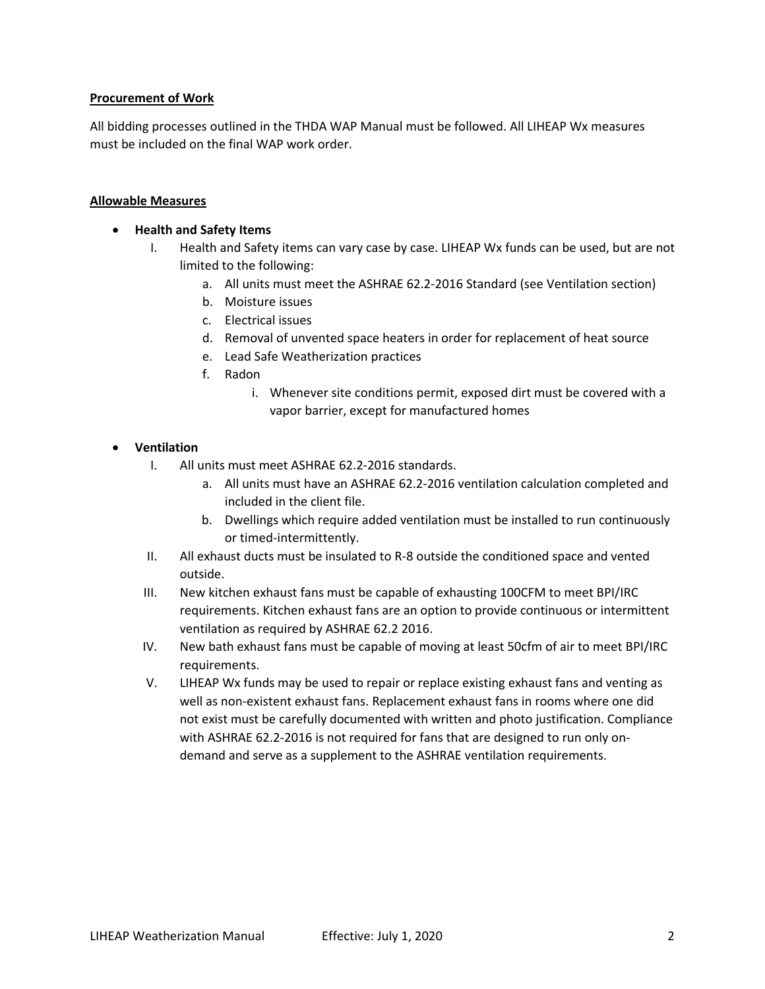# **Procurement of Work**

All bidding processes outlined in the THDA WAP Manual must be followed. All LIHEAP Wx measures must be included on the final WAP work order.

#### **Allowable Measures**

#### • **Health and Safety Items**

- I. Health and Safety items can vary case by case. LIHEAP Wx funds can be used, but are not limited to the following:
	- a. All units must meet the ASHRAE 62.2-2016 Standard (see Ventilation section)
	- b. Moisture issues
	- c. Electrical issues
	- d. Removal of unvented space heaters in order for replacement of heat source
	- e. Lead Safe Weatherization practices
	- f. Radon
		- i. Whenever site conditions permit, exposed dirt must be covered with a vapor barrier, except for manufactured homes

#### • **Ventilation**

- I. All units must meet ASHRAE 62.2-2016 standards.
	- a. All units must have an ASHRAE 62.2-2016 ventilation calculation completed and included in the client file.
	- b. Dwellings which require added ventilation must be installed to run continuously or timed-intermittently.
- II. All exhaust ducts must be insulated to R-8 outside the conditioned space and vented outside.
- III. New kitchen exhaust fans must be capable of exhausting 100CFM to meet BPI/IRC requirements. Kitchen exhaust fans are an option to provide continuous or intermittent ventilation as required by ASHRAE 62.2 2016.
- IV. New bath exhaust fans must be capable of moving at least 50cfm of air to meet BPI/IRC requirements.
- V. LIHEAP Wx funds may be used to repair or replace existing exhaust fans and venting as well as non-existent exhaust fans. Replacement exhaust fans in rooms where one did not exist must be carefully documented with written and photo justification. Compliance with ASHRAE 62.2-2016 is not required for fans that are designed to run only ondemand and serve as a supplement to the ASHRAE ventilation requirements.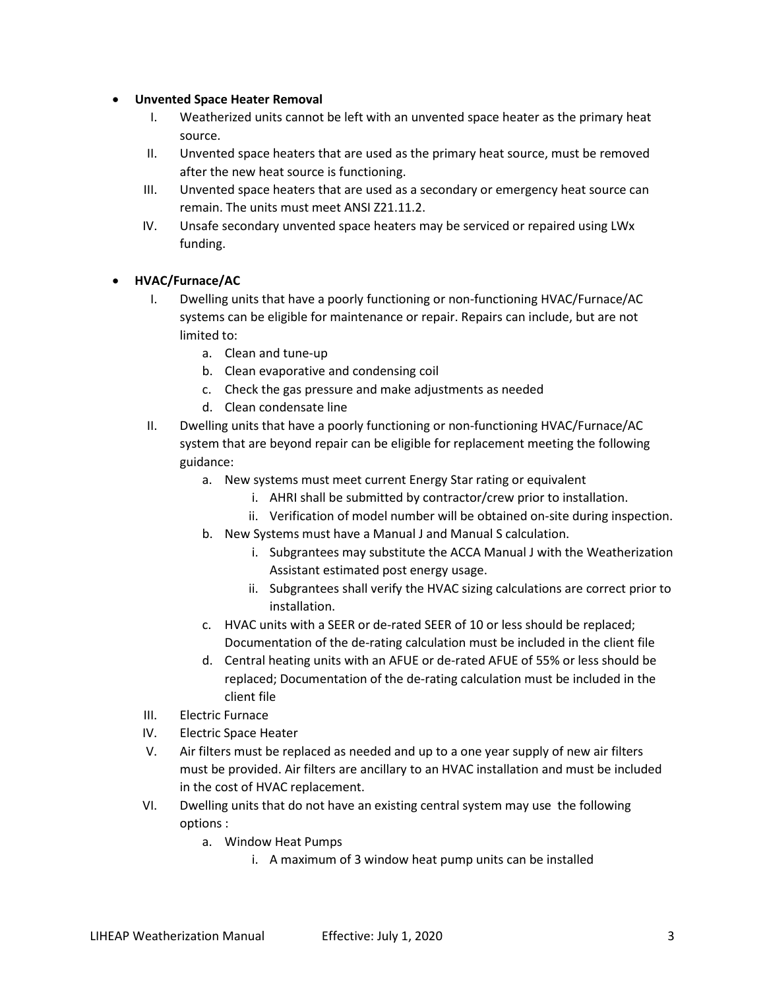# • **Unvented Space Heater Removal**

- I. Weatherized units cannot be left with an unvented space heater as the primary heat source.
- II. Unvented space heaters that are used as the primary heat source, must be removed after the new heat source is functioning.
- III. Unvented space heaters that are used as a secondary or emergency heat source can remain. The units must meet ANSI Z21.11.2.
- IV. Unsafe secondary unvented space heaters may be serviced or repaired using LWx funding.

# • **HVAC/Furnace/AC**

- I. Dwelling units that have a poorly functioning or non-functioning HVAC/Furnace/AC systems can be eligible for maintenance or repair. Repairs can include, but are not limited to:
	- a. Clean and tune-up
	- b. Clean evaporative and condensing coil
	- c. Check the gas pressure and make adjustments as needed
	- d. Clean condensate line
- II. Dwelling units that have a poorly functioning or non-functioning HVAC/Furnace/AC system that are beyond repair can be eligible for replacement meeting the following guidance:
	- a. New systems must meet current Energy Star rating or equivalent
		- i. AHRI shall be submitted by contractor/crew prior to installation.
		- ii. Verification of model number will be obtained on-site during inspection.
	- b. New Systems must have a Manual J and Manual S calculation.
		- i. Subgrantees may substitute the ACCA Manual J with the Weatherization Assistant estimated post energy usage.
		- ii. Subgrantees shall verify the HVAC sizing calculations are correct prior to installation.
	- c. HVAC units with a SEER or de-rated SEER of 10 or less should be replaced; Documentation of the de-rating calculation must be included in the client file
	- d. Central heating units with an AFUE or de-rated AFUE of 55% or less should be replaced; Documentation of the de-rating calculation must be included in the client file
- III. Electric Furnace
- IV. Electric Space Heater
- V. Air filters must be replaced as needed and up to a one year supply of new air filters must be provided. Air filters are ancillary to an HVAC installation and must be included in the cost of HVAC replacement.
- VI. Dwelling units that do not have an existing central system may use the following options :
	- a. Window Heat Pumps
		- i. A maximum of 3 window heat pump units can be installed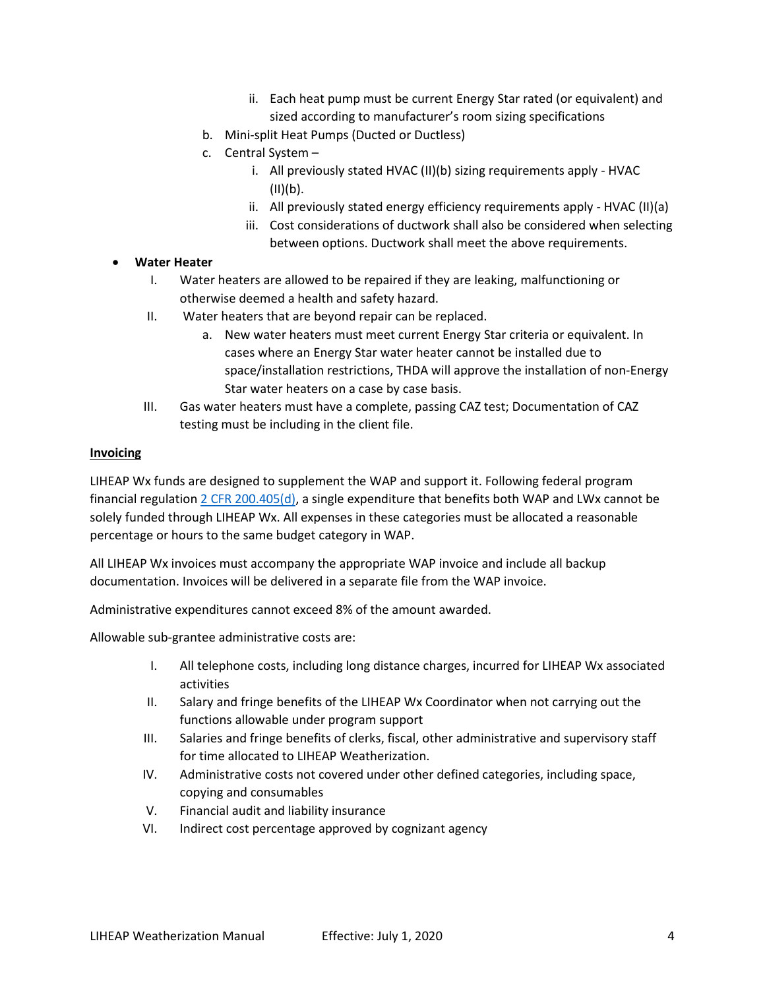- ii. Each heat pump must be current Energy Star rated (or equivalent) and sized according to manufacturer's room sizing specifications
- b. Mini-split Heat Pumps (Ducted or Ductless)
- c. Central System
	- i. All previously stated HVAC (II)(b) sizing requirements apply HVAC  $(II)(b)$ .
	- ii. All previously stated energy efficiency requirements apply HVAC (II)(a)
	- iii. Cost considerations of ductwork shall also be considered when selecting between options. Ductwork shall meet the above requirements.

# • **Water Heater**

- I. Water heaters are allowed to be repaired if they are leaking, malfunctioning or otherwise deemed a health and safety hazard.
- II. Water heaters that are beyond repair can be replaced.
	- a. New water heaters must meet current Energy Star criteria or equivalent. In cases where an Energy Star water heater cannot be installed due to space/installation restrictions, THDA will approve the installation of non-Energy Star water heaters on a case by case basis.
- III. Gas water heaters must have a complete, passing CAZ test; Documentation of CAZ testing must be including in the client file.

#### **Invoicing**

LIHEAP Wx funds are designed to supplement the WAP and support it. Following federal program financial regulatio[n 2 CFR 200.405\(d\),](https://www.ecfr.gov/cgi-bin/retrieveECFR?gp=&SID=f82ff4e4630e7acb322c94a9c068b977&mc=true&n=pt2.1.200&r=PART&ty=HTML#sp2.1.200.e) a single expenditure that benefits both WAP and LWx cannot be solely funded through LIHEAP Wx. All expenses in these categories must be allocated a reasonable percentage or hours to the same budget category in WAP.

All LIHEAP Wx invoices must accompany the appropriate WAP invoice and include all backup documentation. Invoices will be delivered in a separate file from the WAP invoice.

Administrative expenditures cannot exceed 8% of the amount awarded.

Allowable sub-grantee administrative costs are:

- I. All telephone costs, including long distance charges, incurred for LIHEAP Wx associated activities
- II. Salary and fringe benefits of the LIHEAP Wx Coordinator when not carrying out the functions allowable under program support
- III. Salaries and fringe benefits of clerks, fiscal, other administrative and supervisory staff for time allocated to LIHEAP Weatherization.
- IV. Administrative costs not covered under other defined categories, including space, copying and consumables
- V. Financial audit and liability insurance
- VI. Indirect cost percentage approved by cognizant agency